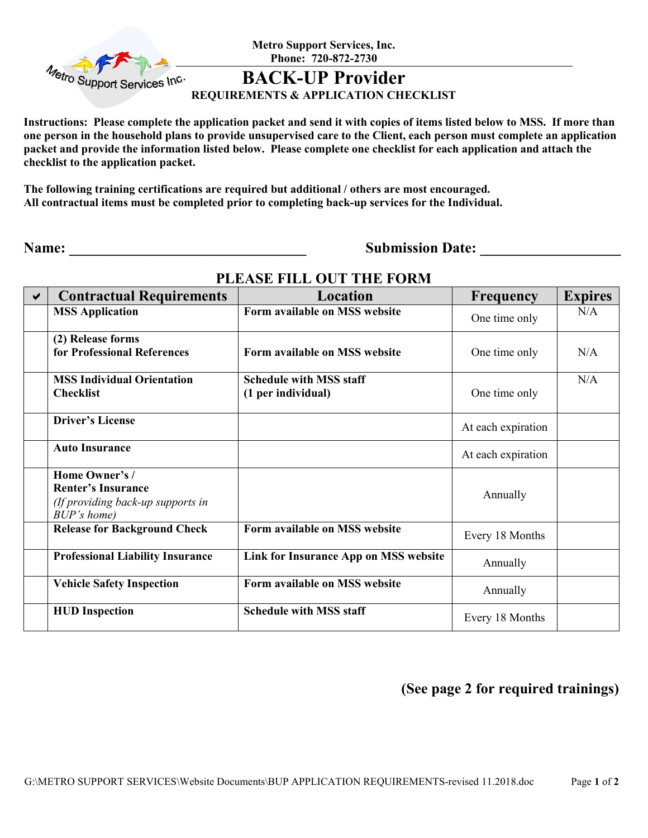

**Metro Support Services, Inc. Phone: 720-872-2730** 

## **BACK-UP Provider**

#### **REQUIREMENTS & APPLICATION CHECKLIST**

**Instructions: Please complete the application packet and send it with copies of items listed below to MSS. If more than one person in the household plans to provide unsupervised care to the Client, each person must complete an application packet and provide the information listed below. Please complete one checklist for each application and attach the checklist to the application packet.**

**The following training certifications are required but additional / others are most encouraged. All contractual items must be completed prior to completing back-up services for the Individual.** 

**Name: \_\_\_\_\_\_\_\_\_\_\_\_\_\_\_\_\_\_\_\_\_\_\_\_\_\_\_\_\_\_\_\_ Submission Date: \_\_\_\_\_\_\_\_\_\_\_\_\_\_\_\_\_\_\_** 

| ✔ | <b>Contractual Requirements</b>                                                                 | Location                                             | Frequency          | <b>Expires</b> |
|---|-------------------------------------------------------------------------------------------------|------------------------------------------------------|--------------------|----------------|
|   | <b>MSS Application</b>                                                                          | Form available on MSS website                        | One time only      | N/A            |
|   | (2) Release forms<br>for Professional References                                                | Form available on MSS website                        | One time only      | N/A            |
|   | <b>MSS Individual Orientation</b><br><b>Checklist</b>                                           | <b>Schedule with MSS staff</b><br>(1 per individual) | One time only      | N/A            |
|   | <b>Driver's License</b>                                                                         |                                                      | At each expiration |                |
|   | <b>Auto Insurance</b>                                                                           |                                                      | At each expiration |                |
|   | Home Owner's /<br><b>Renter's Insurance</b><br>(If providing back-up supports in<br>BUP's home) |                                                      | Annually           |                |
|   | <b>Release for Background Check</b>                                                             | Form available on MSS website                        | Every 18 Months    |                |
|   | <b>Professional Liability Insurance</b>                                                         | Link for Insurance App on MSS website                | Annually           |                |
|   | <b>Vehicle Safety Inspection</b>                                                                | Form available on MSS website                        | Annually           |                |
|   | <b>HUD</b> Inspection                                                                           | <b>Schedule with MSS staff</b>                       | Every 18 Months    |                |

### **PLEASE FILL OUT THE FORM**

**(See page 2 for required trainings)**